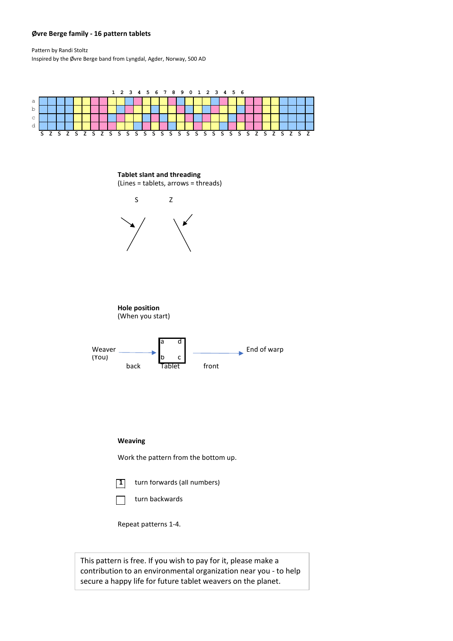## **Øvre Berge family - 16 pattern tablets**

Pattern by Randi Stoltz Inspired by the Øvre Berge band from Lyngdal, Agder, Norway, 500 AD



contribution to an environmental organization near you - to help secure a happy life for future tablet weavers on the planet.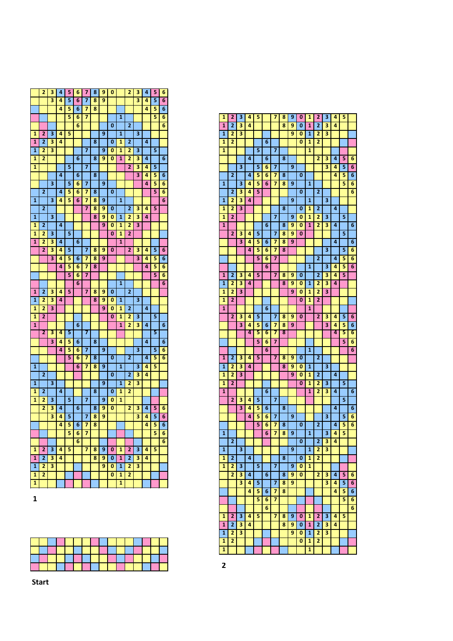|                         | 2              | з                       | 4 | 5 | 6              | 7 | 8 | 9              | 0                       |                         | 2              | з                       | 4 | 5 | 6              |
|-------------------------|----------------|-------------------------|---|---|----------------|---|---|----------------|-------------------------|-------------------------|----------------|-------------------------|---|---|----------------|
|                         |                | 3                       | 4 | 5 | 6              | 7 | 8 | 9              |                         |                         |                | 3                       | 4 | 5 | 6              |
|                         |                |                         | 4 | 5 | 6              | 7 | 8 |                |                         |                         |                |                         | 4 | 5 | 6              |
|                         |                |                         |   | 5 | 6              | 7 |   |                |                         | $\overline{\mathbf{1}}$ |                |                         |   | 5 | 6              |
|                         |                |                         |   |   | 6              |   |   |                | $\bf{0}$                |                         | $\overline{2}$ |                         |   |   | $\overline{6}$ |
| $\overline{\mathbf{1}}$ | $\overline{2}$ | $\overline{\mathbf{3}}$ | 4 | 5 |                |   |   | 9              |                         | $\overline{1}$          |                | $\overline{\mathbf{3}}$ |   |   |                |
| 1                       | $\overline{a}$ | 3                       | 4 |   |                |   | 8 |                | 0                       | 1                       | $\overline{2}$ |                         | 4 |   |                |
| 1                       | 2              | 3                       |   |   |                | 7 |   | 9              | 0                       | 1                       | 2              | 3                       |   | 5 |                |
| 1                       | $\overline{2}$ |                         |   |   | 6              |   | 8 | 9              | 0                       | $\mathbf{1}$            | 2              | 3                       | 4 |   | 6              |
| 1                       |                |                         |   | 5 |                | 7 |   |                |                         |                         | $\overline{2}$ | 3                       | 4 | 5 |                |
|                         |                |                         | 4 |   | 6              |   | 8 |                |                         |                         |                | 3                       | 4 | 5 | 6              |
|                         |                | 3                       |   | 5 | 6              | 7 |   | 9              |                         |                         |                |                         | 4 | 5 | 6              |
|                         | $\overline{2}$ |                         | 4 | 5 | 6              | 7 | 8 |                | 0                       |                         |                |                         |   | 5 | 6              |
| $\mathbf{1}$            |                | 3                       | 4 | 5 | 6              | 7 | 8 | 9              |                         | 1                       |                |                         |   |   | 6              |
|                         |                |                         |   |   |                |   |   | 9              |                         |                         | $\overline{2}$ | 3                       | 4 |   |                |
|                         | 2              |                         |   |   |                | 7 | 8 |                | 0                       |                         |                |                         |   | 5 |                |
| 1                       |                | 3                       |   |   |                |   | 8 | 9              | 0                       | 1                       | 2              | 3                       | 4 |   |                |
| $\mathbf{1}$            | $\overline{2}$ |                         | 4 |   |                |   |   | 9              | 0                       | 1                       | 2              | 3                       |   |   |                |
| $\overline{\mathbf{1}}$ | 2              | 3                       |   | 5 |                |   |   |                | $\bf{0}$                | 1                       | $\overline{2}$ |                         |   |   |                |
| 1                       | 2              | 3                       | 4 |   | $\overline{6}$ |   |   |                |                         | $\overline{\mathbf{1}}$ |                |                         |   |   |                |
|                         | 2              | 3                       | 4 | 5 |                | 7 | 8 | 9              | 0                       |                         | $\overline{2}$ | $\overline{\mathbf{3}}$ | 4 | 5 | 6              |
|                         |                | 3                       | 4 | 5 | 6              | 7 | 8 | $\overline{9}$ |                         |                         |                | $\overline{\mathbf{3}}$ | 4 | 5 | 6              |
|                         |                |                         | 4 | 5 | 6              | 7 | 8 |                |                         |                         |                |                         | 4 | 5 | 6              |
|                         |                |                         |   | 5 | 6              | 7 |   |                |                         |                         |                |                         |   | 5 | 6              |
|                         |                |                         |   |   | 6              |   |   |                |                         | 1                       |                |                         |   |   | 6              |
| $\mathbf{1}$            | $\overline{2}$ | 3                       | 4 | 5 |                | 7 | 8 | 9              | 0                       |                         | 2              |                         |   |   |                |
| 1                       | 2              | 3                       | 4 |   |                |   | 8 | 9              | 0                       | $\mathbf{1}$            |                | 3                       |   |   |                |
| 1                       | 2              | 3                       |   |   |                |   |   | 9              | $\bf{0}$                | 1                       | $\overline{a}$ |                         | 4 |   |                |
| 1                       | 2              |                         |   |   |                |   |   |                | 0                       | 1                       | 2              | 3                       |   | 5 |                |
| $\mathbf{1}$            |                |                         |   |   | 6              |   |   |                |                         | $\mathbf{1}$            | 2              | 3                       | 4 |   | 6              |
|                         | 2              | 3                       | 4 | 5 |                | 7 |   |                |                         |                         |                |                         |   | 5 |                |
|                         |                | 3                       | 4 | 5 | 6              |   | 8 |                |                         |                         |                |                         | 4 |   | 6              |
|                         |                |                         | 4 | 5 | 6              | 7 |   | 9              |                         |                         |                | 3                       |   | 5 | 6              |
|                         |                |                         |   | 5 | 6              | 7 | 8 |                | $\overline{\mathbf{0}}$ |                         | 2              |                         | 4 | 5 | 6              |
| $\overline{\mathbf{1}}$ |                |                         |   |   | 6              | 7 | 8 | 9              |                         | $\overline{\mathbf{1}}$ |                | $\overline{\mathbf{3}}$ | 4 | 5 |                |
|                         | $\overline{2}$ |                         |   |   |                |   |   |                | 0                       |                         | $\overline{2}$ | 3                       | 4 |   |                |
| $\mathbf{1}$            |                | 3                       |   |   |                |   |   | 9              |                         | 1                       | $\overline{2}$ | 3                       |   |   |                |
| 1                       | $\overline{2}$ |                         | 4 |   |                |   | 8 |                | 0                       | 1                       | $\overline{2}$ |                         |   |   |                |
| 1                       | 2              | 3                       |   | 5 |                | 7 |   | 9              | 0                       | 1                       |                |                         |   |   |                |
|                         | $\overline{2}$ | 3                       | 4 |   | 6              |   | 8 | 9              | 0                       |                         | $\overline{2}$ | 3                       | 4 | 5 | 6              |
|                         |                | 3                       | 4 | 5 |                | 7 | 8 | 9              |                         |                         |                | 3                       | 4 | 5 | 6              |
|                         |                |                         | 4 |   |                |   | 8 |                |                         |                         |                |                         | 4 |   |                |
|                         |                |                         |   | 5 | 6              | 7 |   |                |                         |                         |                |                         |   | 5 | 6              |
|                         |                |                         |   | 5 | 6              | 7 |   |                |                         |                         |                |                         |   | 5 | 6              |
|                         |                |                         |   |   | 6              |   |   |                |                         |                         |                |                         |   |   | 6              |
| $\mathbf{1}$            | 2              | 3                       | 4 | 5 |                | 7 | 8 | 9              | 0                       | 1                       | 2              | 3                       | 4 | 5 |                |
| $\mathbf{1}$            | $\overline{2}$ | 3                       | 4 |   |                |   | 8 | 9              | 0                       | $\mathbf{1}$            | $\overline{2}$ | 3                       | 4 |   |                |
| $\mathbf{1}$            | 2              | 3                       |   |   |                |   |   | 9              | 0                       | $\mathbf{1}$            | 2              | 3                       |   |   |                |
| 1                       | 2              |                         |   |   |                |   |   |                | 0                       | 1                       | 2              |                         |   |   |                |
| $\overline{\mathbf{1}}$ |                |                         |   |   |                |   |   |                |                         | $\overline{\mathbf{1}}$ |                |                         |   |   |                |

| 1              | 2              | 3                       | 4 | 5 |   | 7                       | 8 | 9 | 0 | 1              | 2                       | 3 | 4 | 5 |   |
|----------------|----------------|-------------------------|---|---|---|-------------------------|---|---|---|----------------|-------------------------|---|---|---|---|
| $\overline{1}$ | $\overline{2}$ | 3                       | 4 |   |   |                         | 8 | 9 | 0 | $\overline{1}$ | $\overline{2}$          | 3 | 4 |   |   |
| 1              | 2              | 3                       |   |   |   |                         |   | 9 | 0 | 1              | 2                       | з |   |   |   |
| 1              | $\overline{2}$ |                         |   |   | 6 |                         |   |   | 0 | 1              | 2                       |   |   |   |   |
| 1              |                |                         |   | 5 |   | 7                       |   |   |   | 1              |                         |   |   |   |   |
|                |                |                         |   |   |   |                         |   |   |   |                | $\overline{2}$          |   |   |   |   |
|                |                |                         | 4 |   | 6 |                         | 8 |   |   |                |                         | з | 4 | 5 | 6 |
|                |                | 3                       |   | 5 | 6 | 7                       |   | 9 |   |                |                         | 3 | 4 | 5 | 6 |
|                | $\overline{2}$ |                         | 4 | 5 | 6 | 7                       | 8 |   | 0 |                |                         |   | 4 | 5 | 6 |
| 1              |                | 3                       | 4 | 5 | 6 | 7                       | 8 | 9 |   | 1              |                         |   |   | 5 | 6 |
|                | 2              | з                       | 4 | 5 |   |                         |   |   | 0 |                | 2                       |   |   |   | 6 |
| 1              | 2              | 3                       | 4 |   |   |                         |   | 9 |   | 1              |                         | 3 |   |   |   |
| 1              | 2              | 3                       |   |   |   |                         | 8 |   | 0 | 1              | 2                       |   | 4 |   |   |
| 1              | $\overline{2}$ |                         |   |   |   | 7                       |   | 9 | 0 | 1              | 2                       | 3 |   | 5 |   |
| 1              |                |                         |   |   | 6 |                         | 8 | 9 | 0 | 1              | 2                       | 3 | 4 |   | 6 |
|                | $\overline{2}$ | 3                       | 4 | 5 |   | 7                       | 8 | 9 | 0 |                |                         |   |   | 5 |   |
|                |                | 3                       | 4 | 5 | 6 | 7                       | 8 | 9 |   |                |                         |   | 4 |   | 6 |
|                |                |                         |   |   |   |                         |   |   |   |                |                         |   |   |   |   |
|                |                |                         | 4 | 5 | 6 | 7                       | 8 |   |   |                |                         | 3 |   | 5 | 6 |
|                |                |                         |   | 5 | 6 | $\overline{\mathbf{z}}$ |   |   |   |                | $\overline{2}$          |   | 4 | 5 | 6 |
|                |                |                         |   |   | 6 |                         |   |   |   | $\mathbf{1}$   |                         | 3 | 4 | 5 | 6 |
| 1              | 2              | 3                       | 4 | 5 |   | 7                       | 8 | 9 | 0 |                | $\overline{\mathbf{z}}$ | з | 4 | 5 |   |
| 1              | 2              | 3                       | 4 |   |   |                         | 8 | 9 | 0 | 1              | 2                       | 3 | 4 |   |   |
| 1              | 2              | 3                       |   |   |   |                         |   | 9 | 0 | 1              | 2                       | 3 |   |   |   |
| 1              | $\overline{2}$ |                         |   |   |   |                         |   |   | 0 | 1              | 2                       |   |   |   |   |
| 1              |                |                         |   |   | 6 |                         |   |   |   | 1              |                         |   |   |   |   |
|                | $\overline{2}$ | 3                       | 4 | 5 |   | 7                       | 8 | 9 | 0 |                | 2                       | 3 | 4 | 5 | 6 |
|                |                | 3                       | 4 | 5 | 6 | 7                       | 8 | 9 |   |                |                         | 3 | 4 | 5 | 6 |
|                |                |                         | 4 | 5 | 6 | 7                       | 8 |   |   |                |                         |   | 4 | 5 | 6 |
|                |                |                         |   |   |   |                         |   |   |   |                |                         |   |   |   |   |
|                |                |                         |   | 5 | 6 | 7                       |   |   |   |                |                         |   |   | 5 | 6 |
|                |                |                         |   |   | 6 |                         |   |   |   | 1              |                         |   |   |   | 6 |
| 1              | 2              | 3                       | 4 | 5 |   | 7                       | 8 | 9 | Ō |                | 2                       |   |   |   |   |
| 1              | 2              | з                       | 4 |   |   |                         | 8 | 9 | 0 | 1              |                         | 3 |   |   |   |
| 1              | 2              | 3                       |   |   |   |                         |   | 9 | 0 | 1              | 2                       |   | 4 |   |   |
| 1              | 2              |                         |   |   |   |                         |   |   | 0 | 1              | 2                       | 3 |   | 5 |   |
| 1              |                |                         |   |   | 6 |                         |   |   |   | 1              | 2                       | з | 4 |   | 6 |
|                | $\overline{2}$ | з                       | 4 | 5 |   | 7                       |   |   |   |                |                         |   |   | 5 |   |
|                |                | 3                       | 4 | 5 | 6 |                         | 8 |   |   |                |                         |   | 4 |   | 6 |
|                |                |                         | 4 | 5 | 6 | 7                       |   | 9 |   |                |                         | 3 |   | 5 | 6 |
|                |                |                         |   | 5 | 6 | 7                       | 8 |   | 0 |                | 2                       |   | 4 | 5 | 6 |
| 1              |                |                         |   |   | 6 | 7                       | 8 | 9 |   | $\overline{1}$ |                         | 3 | 4 | 5 |   |
|                |                |                         |   |   |   |                         |   |   |   |                |                         |   |   |   |   |
|                | 2              |                         |   |   |   |                         |   |   | 0 |                | 2                       | з | 4 |   |   |
| 1              |                | $\overline{\mathbf{3}}$ |   |   |   |                         |   | 9 |   | 1              | 2                       | 3 |   |   |   |
| 1              | 2              |                         | 4 |   |   |                         | 8 |   | 0 | 1              | 2                       |   |   |   |   |
| 1              | 2              | 3                       |   | 5 |   | 7                       |   | 9 | 0 | 1              |                         |   |   |   |   |
|                | 2              | 3                       | 4 |   | 6 |                         | 8 | 9 | 0 |                | 2                       | 3 | 4 | 5 | 6 |
|                |                | 3                       | 4 | 5 |   | 7                       | 8 | 9 |   |                |                         | 3 | 4 | 5 | 6 |
|                |                |                         | 4 | 5 | 6 | 7                       | 8 |   |   |                |                         |   | 4 | 5 | 6 |
|                |                |                         |   | 5 | 6 | 7                       |   |   |   |                |                         |   |   | 5 | 6 |
|                |                |                         |   |   | 6 |                         |   |   |   |                |                         |   |   |   | 6 |
| 1              | 2              | 3                       | 4 | 5 |   | 7                       | 8 | 9 | 0 | 1              | 2                       | 3 | 4 | 5 |   |
|                | $\overline{2}$ |                         | 4 |   |   |                         |   |   |   |                |                         |   | 4 |   |   |
| 1              |                | з                       |   |   |   |                         | 8 | 9 | 0 | 1              | 2                       | з |   |   |   |
| 1              | 2              | 3                       |   |   |   |                         |   | 9 | 0 | 1              | 2                       | 3 |   |   |   |
| 1              | 2              |                         |   |   |   |                         |   |   | 0 | 1              | 2                       |   |   |   |   |
| 1              |                |                         |   |   |   |                         |   |   |   | 1              |                         |   |   |   |   |



**Start**